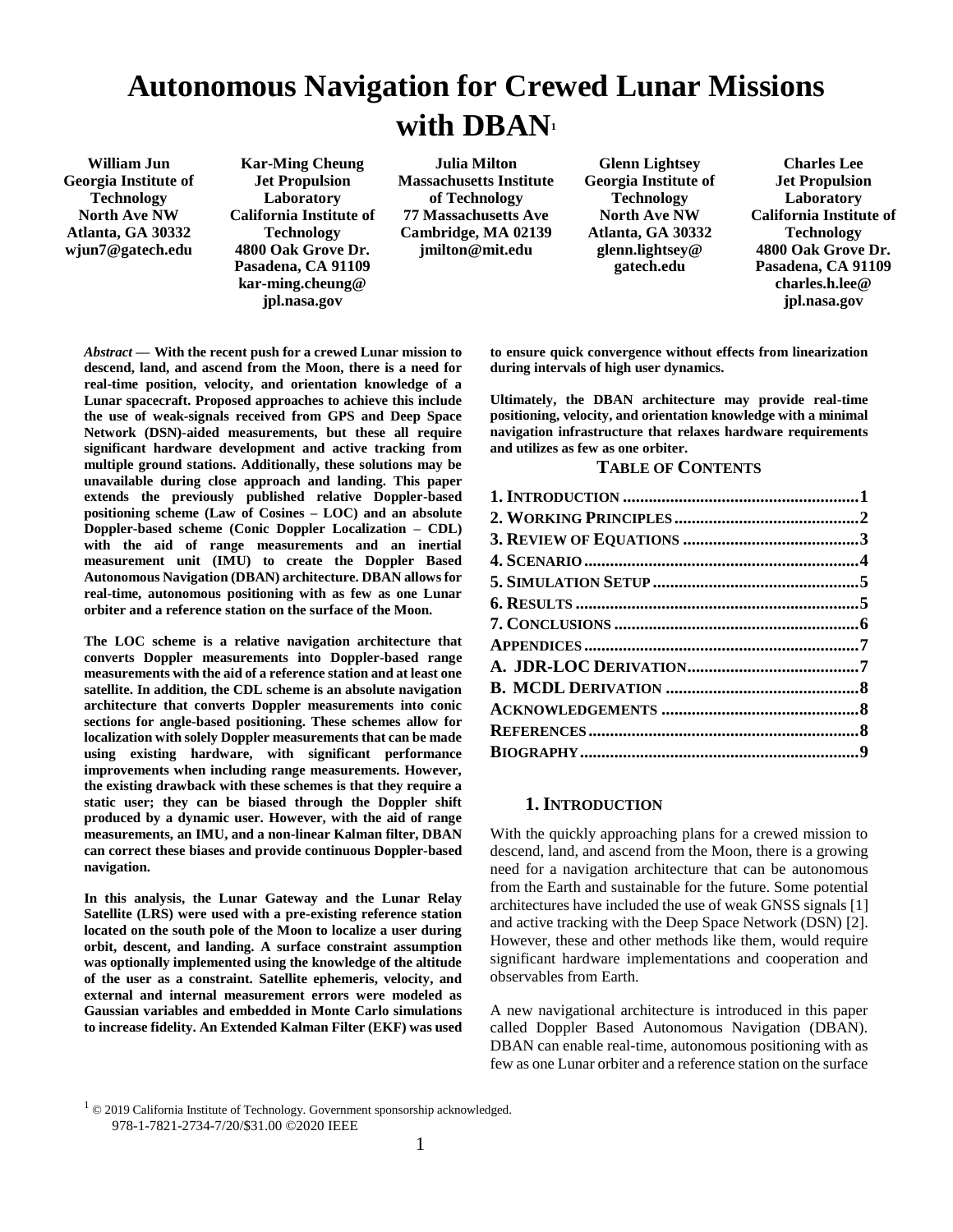# **Autonomous Navigation for Crewed Lunar Missions with DBAN<sup>1</sup>**

**William Jun Georgia Institute of Technology North Ave NW Atlanta, GA 30332 wjun7@gatech.edu** 

**Kar-Ming Cheung Jet Propulsion Laboratory California Institute of Technology 4800 Oak Grove Dr. Pasadena, CA 91109 kar-ming.cheung@ jpl.nasa.gov**

**Julia Milton Massachusetts Institute of Technology 77 Massachusetts Ave Cambridge, MA 02139 jmilton@mit.edu**

**Glenn Lightsey Georgia Institute of Technology North Ave NW Atlanta, GA 30332 glenn.lightsey@ gatech.edu**

**Charles Lee Jet Propulsion Laboratory California Institute of Technology 4800 Oak Grove Dr. Pasadena, CA 91109 charles.h.lee@ jpl.nasa.gov**

*Abstract* **— With the recent push for a crewed Lunar mission to descend, land, and ascend from the Moon, there is a need for real-time position, velocity, and orientation knowledge of a Lunar spacecraft. Proposed approaches to achieve this include the use of weak-signals received from GPS and Deep Space Network (DSN)-aided measurements, but these all require significant hardware development and active tracking from multiple ground stations. Additionally, these solutions may be unavailable during close approach and landing. This paper extends the previously published relative Doppler-based positioning scheme (Law of Cosines – LOC) and an absolute Doppler-based scheme (Conic Doppler Localization – CDL) with the aid of range measurements and an inertial measurement unit (IMU) to create the Doppler Based Autonomous Navigation (DBAN) architecture. DBAN allows for real-time, autonomous positioning with as few as one Lunar orbiter and a reference station on the surface of the Moon.** 

**The LOC scheme is a relative navigation architecture that converts Doppler measurements into Doppler-based range measurements with the aid of a reference station and at least one satellite. In addition, the CDL scheme is an absolute navigation architecture that converts Doppler measurements into conic sections for angle-based positioning. These schemes allow for localization with solely Doppler measurements that can be made using existing hardware, with significant performance improvements when including range measurements. However, the existing drawback with these schemes is that they require a static user; they can be biased through the Doppler shift produced by a dynamic user. However, with the aid of range measurements, an IMU, and a non-linear Kalman filter, DBAN can correct these biases and provide continuous Doppler-based navigation.**

**In this analysis, the Lunar Gateway and the Lunar Relay Satellite (LRS) were used with a pre-existing reference station located on the south pole of the Moon to localize a user during orbit, descent, and landing. A surface constraint assumption was optionally implemented using the knowledge of the altitude of the user as a constraint. Satellite ephemeris, velocity, and external and internal measurement errors were modeled as Gaussian variables and embedded in Monte Carlo simulations to increase fidelity. An Extended Kalman Filter (EKF) was used**  **to ensure quick convergence without effects from linearization during intervals of high user dynamics.**

**Ultimately, the DBAN architecture may provide real-time positioning, velocity, and orientation knowledge with a minimal navigation infrastructure that relaxes hardware requirements and utilizes as few as one orbiter.** 

### **TABLE OF CONTENTS**

# **1. INTRODUCTION**

<span id="page-0-0"></span>With the quickly approaching plans for a crewed mission to descend, land, and ascend from the Moon, there is a growing need for a navigation architecture that can be autonomous from the Earth and sustainable for the future. Some potential architectures have included the use of weak GNSS signals [1] and active tracking with the Deep Space Network (DSN) [2]. However, these and other methods like them, would require significant hardware implementations and cooperation and observables from Earth.

A new navigational architecture is introduced in this paper called Doppler Based Autonomous Navigation (DBAN). DBAN can enable real-time, autonomous positioning with as few as one Lunar orbiter and a reference station on the surface

 $1$   $\odot$  2019 California Institute of Technology. Government sponsorship acknowledged.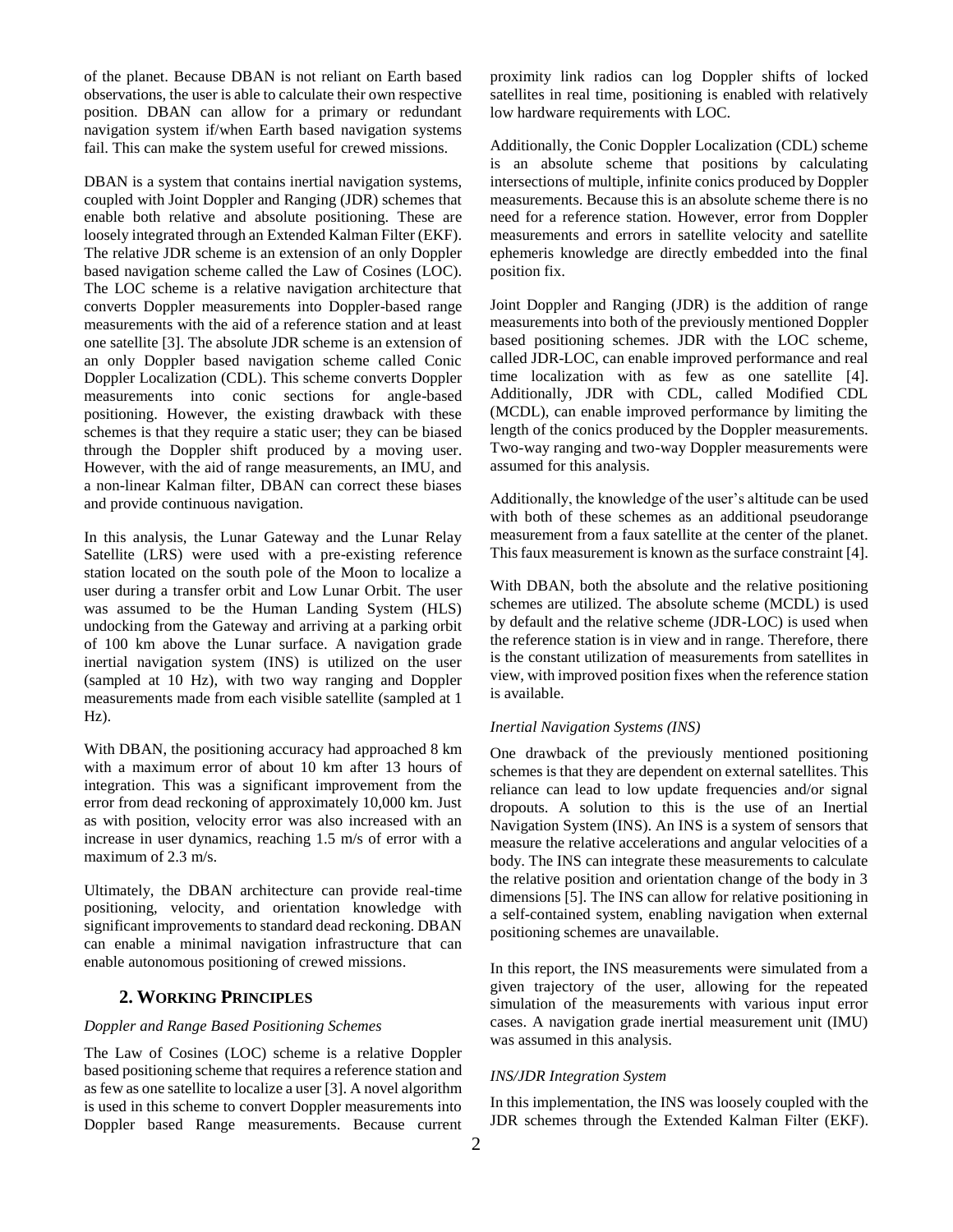of the planet. Because DBAN is not reliant on Earth based observations, the user is able to calculate their own respective position. DBAN can allow for a primary or redundant navigation system if/when Earth based navigation systems fail. This can make the system useful for crewed missions.

DBAN is a system that contains inertial navigation systems, coupled with Joint Doppler and Ranging (JDR) schemes that enable both relative and absolute positioning. These are loosely integrated through an Extended Kalman Filter (EKF). The relative JDR scheme is an extension of an only Doppler based navigation scheme called the Law of Cosines (LOC). The LOC scheme is a relative navigation architecture that converts Doppler measurements into Doppler-based range measurements with the aid of a reference station and at least one satellite [3]. The absolute JDR scheme is an extension of an only Doppler based navigation scheme called Conic Doppler Localization (CDL). This scheme converts Doppler measurements into conic sections for angle-based positioning. However, the existing drawback with these schemes is that they require a static user; they can be biased through the Doppler shift produced by a moving user. However, with the aid of range measurements, an IMU, and a non-linear Kalman filter, DBAN can correct these biases and provide continuous navigation.

In this analysis, the Lunar Gateway and the Lunar Relay Satellite (LRS) were used with a pre-existing reference station located on the south pole of the Moon to localize a user during a transfer orbit and Low Lunar Orbit. The user was assumed to be the Human Landing System (HLS) undocking from the Gateway and arriving at a parking orbit of 100 km above the Lunar surface. A navigation grade inertial navigation system (INS) is utilized on the user (sampled at 10 Hz), with two way ranging and Doppler measurements made from each visible satellite (sampled at 1 Hz).

With DBAN, the positioning accuracy had approached 8 km with a maximum error of about 10 km after 13 hours of integration. This was a significant improvement from the error from dead reckoning of approximately 10,000 km. Just as with position, velocity error was also increased with an increase in user dynamics, reaching 1.5 m/s of error with a maximum of 2.3 m/s.

Ultimately, the DBAN architecture can provide real-time positioning, velocity, and orientation knowledge with significant improvements to standard dead reckoning. DBAN can enable a minimal navigation infrastructure that can enable autonomous positioning of crewed missions.

# **2. WORKING PRINCIPLES**

#### <span id="page-1-0"></span>*Doppler and Range Based Positioning Schemes*

The Law of Cosines (LOC) scheme is a relative Doppler based positioning scheme that requires a reference station and as few as one satellite to localize a user [3]. A novel algorithm is used in this scheme to convert Doppler measurements into Doppler based Range measurements. Because current proximity link radios can log Doppler shifts of locked satellites in real time, positioning is enabled with relatively low hardware requirements with LOC.

Additionally, the Conic Doppler Localization (CDL) scheme is an absolute scheme that positions by calculating intersections of multiple, infinite conics produced by Doppler measurements. Because this is an absolute scheme there is no need for a reference station. However, error from Doppler measurements and errors in satellite velocity and satellite ephemeris knowledge are directly embedded into the final position fix.

Joint Doppler and Ranging (JDR) is the addition of range measurements into both of the previously mentioned Doppler based positioning schemes. JDR with the LOC scheme, called JDR-LOC, can enable improved performance and real time localization with as few as one satellite [4]. Additionally, JDR with CDL, called Modified CDL (MCDL), can enable improved performance by limiting the length of the conics produced by the Doppler measurements. Two-way ranging and two-way Doppler measurements were assumed for this analysis.

Additionally, the knowledge of the user's altitude can be used with both of these schemes as an additional pseudorange measurement from a faux satellite at the center of the planet. This faux measurement is known as the surface constraint [4].

With DBAN, both the absolute and the relative positioning schemes are utilized. The absolute scheme (MCDL) is used by default and the relative scheme (JDR-LOC) is used when the reference station is in view and in range. Therefore, there is the constant utilization of measurements from satellites in view, with improved position fixes when the reference station is available.

#### *Inertial Navigation Systems (INS)*

One drawback of the previously mentioned positioning schemes is that they are dependent on external satellites. This reliance can lead to low update frequencies and/or signal dropouts. A solution to this is the use of an Inertial Navigation System (INS). An INS is a system of sensors that measure the relative accelerations and angular velocities of a body. The INS can integrate these measurements to calculate the relative position and orientation change of the body in 3 dimensions [5]. The INS can allow for relative positioning in a self-contained system, enabling navigation when external positioning schemes are unavailable.

In this report, the INS measurements were simulated from a given trajectory of the user, allowing for the repeated simulation of the measurements with various input error cases. A navigation grade inertial measurement unit (IMU) was assumed in this analysis.

# *INS/JDR Integration System*

In this implementation, the INS was loosely coupled with the JDR schemes through the Extended Kalman Filter (EKF).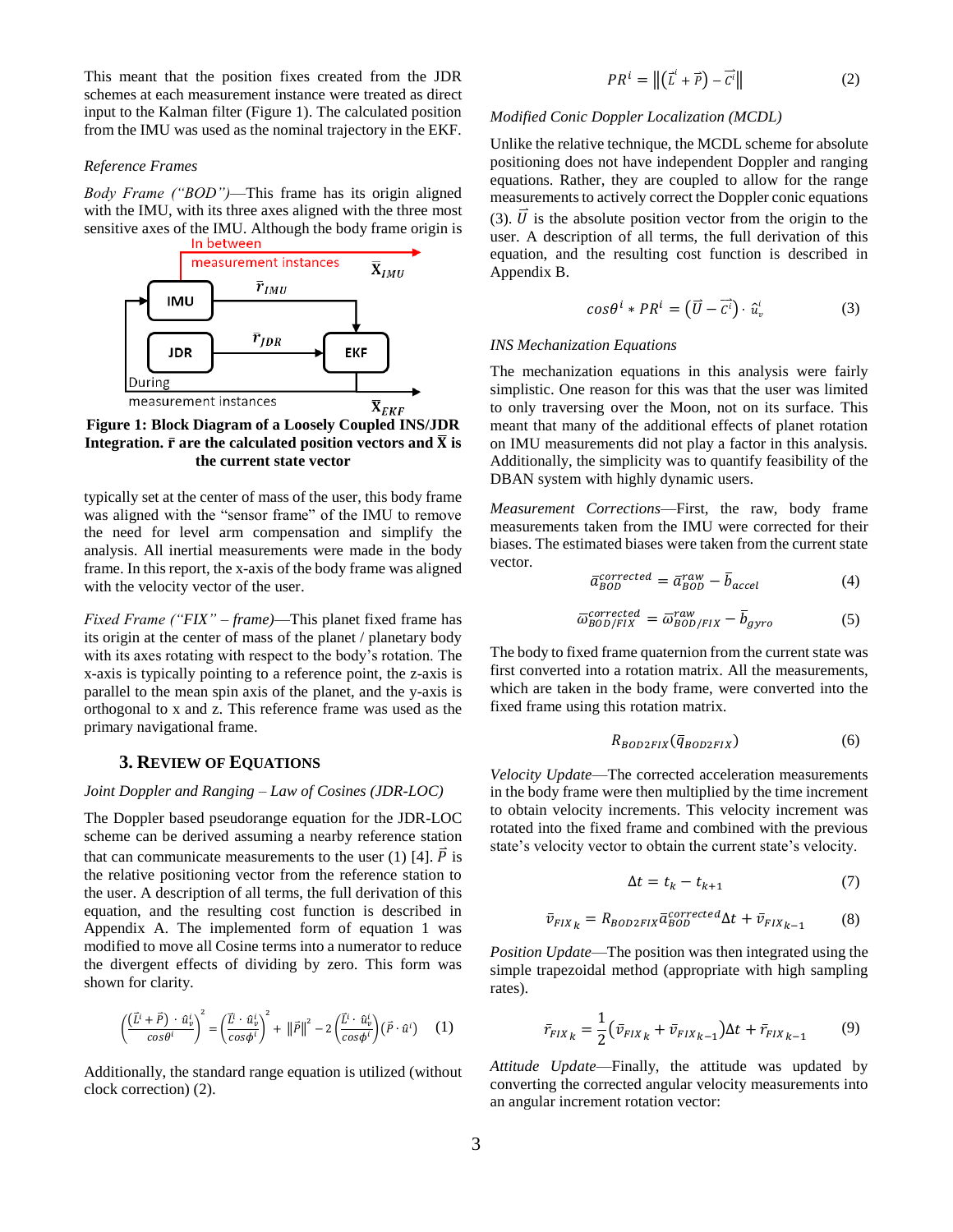This meant that the position fixes created from the JDR schemes at each measurement instance were treated as direct input to the Kalman filter (Figure 1). The calculated position from the IMU was used as the nominal trajectory in the EKF.

#### *Reference Frames*

*Body Frame ("BOD")*—This frame has its origin aligned with the IMU, with its three axes aligned with the three most sensitive axes of the IMU. Although the body frame origin is



**Integration.**  $\bar{r}$  are the calculated position vectors and  $\bar{X}$  is **the current state vector**

typically set at the center of mass of the user, this body frame was aligned with the "sensor frame" of the IMU to remove the need for level arm compensation and simplify the analysis. All inertial measurements were made in the body frame. In this report, the x-axis of the body frame was aligned with the velocity vector of the user.

*Fixed Frame ("FIX" – frame)*—This planet fixed frame has its origin at the center of mass of the planet / planetary body with its axes rotating with respect to the body's rotation. The x-axis is typically pointing to a reference point, the z-axis is parallel to the mean spin axis of the planet, and the y-axis is orthogonal to x and z. This reference frame was used as the primary navigational frame.

## **3. REVIEW OF EQUATIONS**

#### <span id="page-2-0"></span>*Joint Doppler and Ranging – Law of Cosines (JDR-LOC)*

The Doppler based pseudorange equation for the JDR-LOC scheme can be derived assuming a nearby reference station that can communicate measurements to the user (1) [4].  $\vec{P}$  is the relative positioning vector from the reference station to the user. A description of all terms, the full derivation of this equation, and the resulting cost function is described in Appendix A. The implemented form of equation 1 was modified to move all Cosine terms into a numerator to reduce the divergent effects of dividing by zero. This form was shown for clarity.

$$
\left(\frac{(\vec{L}^i + \vec{P}) \cdot \hat{u}^i_v}{\cos \theta^i}\right)^2 = \left(\frac{\vec{L}^i \cdot \hat{u}^i_v}{\cos \phi^i}\right)^2 + ||\vec{P}||^2 - 2\left(\frac{\vec{L}^i \cdot \hat{u}^i_v}{\cos \phi^i}\right)(\vec{P} \cdot \hat{u}^i) \tag{1}
$$

Additionally, the standard range equation is utilized (without clock correction) (2).

$$
PR^{i} = \left\| \left( \vec{L}^{i} + \vec{P} \right) - \vec{C}^{i} \right\| \tag{2}
$$

#### *Modified Conic Doppler Localization (MCDL)*

Unlike the relative technique, the MCDL scheme for absolute positioning does not have independent Doppler and ranging equations. Rather, they are coupled to allow for the range measurements to actively correct the Doppler conic equations (3).  $\vec{U}$  is the absolute position vector from the origin to the user. A description of all terms, the full derivation of this equation, and the resulting cost function is described in Appendix B.

$$
\cos\theta^i * PR^i = \left(\vec{U} - \vec{c^i}\right) \cdot \hat{u}^i_v \tag{3}
$$

#### *INS Mechanization Equations*

The mechanization equations in this analysis were fairly simplistic. One reason for this was that the user was limited to only traversing over the Moon, not on its surface. This meant that many of the additional effects of planet rotation on IMU measurements did not play a factor in this analysis. Additionally, the simplicity was to quantify feasibility of the DBAN system with highly dynamic users.

*Measurement Corrections*—First, the raw, body frame measurements taken from the IMU were corrected for their biases. The estimated biases were taken from the current state vector.

$$
\bar{a}_{BOD}^{corrected} = \bar{a}_{BOD}^{raw} - \bar{b}_{accel}
$$
 (4)

$$
\overline{\omega}_{BOD/FIX}^{corrected} = \overline{\omega}_{BOD/FIX}^{raw} - \overline{b}_{gyro}
$$
 (5)

The body to fixed frame quaternion from the current state was first converted into a rotation matrix. All the measurements, which are taken in the body frame, were converted into the fixed frame using this rotation matrix.

$$
R_{BOD2FIX}(\bar{q}_{BOD2FIX})\tag{6}
$$

*Velocity Update*—The corrected acceleration measurements in the body frame were then multiplied by the time increment to obtain velocity increments. This velocity increment was rotated into the fixed frame and combined with the previous state's velocity vector to obtain the current state's velocity.

$$
\Delta t = t_k - t_{k+1} \tag{7}
$$

$$
\bar{v}_{FIX_k} = R_{BOD2FIX} \bar{a}_{BOD}^{corrected} \Delta t + \bar{v}_{FIX_{k-1}} \tag{8}
$$

*Position Update*—The position was then integrated using the simple trapezoidal method (appropriate with high sampling rates).

$$
\bar{r}_{FIX_{k}} = \frac{1}{2} \left( \bar{v}_{FIX_{k}} + \bar{v}_{FIX_{k-1}} \right) \Delta t + \bar{r}_{FIX_{k-1}} \tag{9}
$$

*Attitude Update*—Finally, the attitude was updated by converting the corrected angular velocity measurements into an angular increment rotation vector: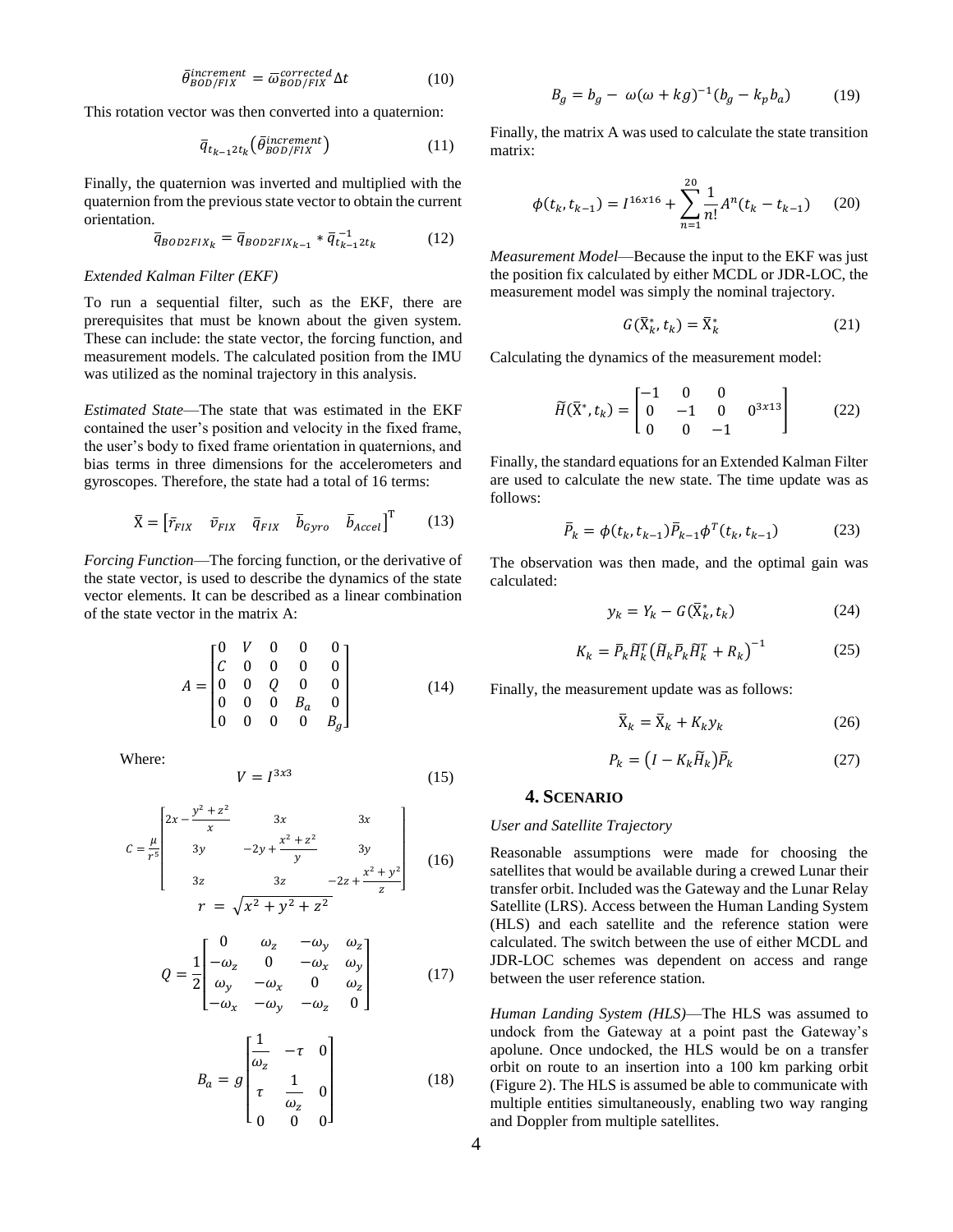$$
\bar{\theta}_{BOD/FIX}^{increment} = \bar{\omega}_{BOD/FIX}^{corrected} \Delta t \tag{10}
$$

This rotation vector was then converted into a quaternion:

$$
\overline{q}_{t_{k-1}2t_k}(\overline{\theta}_{BOD/FIX}^{increment})
$$
 (11)

Finally, the quaternion was inverted and multiplied with the quaternion from the previous state vector to obtain the current orientation.

$$
\overline{q}_{BOD2FIX_k} = \overline{q}_{BOD2FIX_{k-1}} * \overline{q}_{t_{k-1}2t_k}^{-1}
$$
 (12)

#### *Extended Kalman Filter (EKF)*

To run a sequential filter, such as the EKF, there are prerequisites that must be known about the given system. These can include: the state vector, the forcing function, and measurement models. The calculated position from the IMU was utilized as the nominal trajectory in this analysis.

*Estimated State*—The state that was estimated in the EKF contained the user's position and velocity in the fixed frame, the user's body to fixed frame orientation in quaternions, and bias terms in three dimensions for the accelerometers and gyroscopes. Therefore, the state had a total of 16 terms:

$$
\bar{X} = \begin{bmatrix} \bar{r}_{FIX} & \bar{v}_{FIX} & \bar{q}_{FIX} & \bar{b}_{Gyro} & \bar{b}_{Accel} \end{bmatrix}^{\mathrm{T}} \tag{13}
$$

*Forcing Function*—The forcing function, or the derivative of the state vector, is used to describe the dynamics of the state vector elements. It can be described as a linear combination of the state vector in the matrix  $A^T$ 

$$
A = \begin{bmatrix} 0 & V & 0 & 0 & 0 \\ C & 0 & 0 & 0 & 0 \\ 0 & 0 & Q & 0 & 0 \\ 0 & 0 & 0 & B_a & 0 \\ 0 & 0 & 0 & 0 & B_g \end{bmatrix}
$$
 (14)

Where:

$$
V = I^{3x3} \tag{15}
$$

$$
C = \frac{\mu}{r^5} \begin{bmatrix} 2x - \frac{y^2 + z^2}{x} & 3x & 3x \\ 3y & -2y + \frac{x^2 + z^2}{y} & 3y \\ 3z & 3z & -2z + \frac{x^2 + y^2}{z} \end{bmatrix}
$$
 (16)  

$$
r = \sqrt{x^2 + y^2 + z^2}
$$

$$
Q = \frac{1}{2} \begin{bmatrix} 0 & \omega_z & -\omega_y & \omega_z \\ -\omega_z & 0 & -\omega_x & \omega_y \\ \omega_y & -\omega_x & 0 & \omega_z \\ -\omega_x & -\omega_y & -\omega_z & 0 \end{bmatrix}
$$
 (17)

$$
B_a = g \begin{bmatrix} \frac{1}{\omega_z} & -\tau & 0\\ \tau & \frac{1}{\omega_z} & 0\\ 0 & 0 & 0 \end{bmatrix}
$$
 (18)

$$
B_g = b_g - \omega(\omega + kg)^{-1}(b_g - k_p b_a) \tag{19}
$$

Finally, the matrix A was used to calculate the state transition matrix:

$$
\phi(t_k, t_{k-1}) = I^{16x16} + \sum_{n=1}^{20} \frac{1}{n!} A^n(t_k - t_{k-1}) \tag{20}
$$

*Measurement Model*—Because the input to the EKF was just the position fix calculated by either MCDL or JDR-LOC, the measurement model was simply the nominal trajectory.

$$
G(\bar{X}_k^*, t_k) = \bar{X}_k^* \tag{21}
$$

Calculating the dynamics of the measurement model:

$$
\widetilde{H}(\bar{X}^*, t_k) = \begin{bmatrix} -1 & 0 & 0 \\ 0 & -1 & 0 & 0 \\ 0 & 0 & -1 \end{bmatrix}
$$
 (22)

Finally, the standard equations for an Extended Kalman Filter are used to calculate the new state. The time update was as follows:

$$
\bar{P}_k = \phi(t_k, t_{k-1}) \bar{P}_{k-1} \phi^T(t_k, t_{k-1})
$$
\n(23)

The observation was then made, and the optimal gain was calculated:

$$
y_k = Y_k - G(\bar{X}_k^*, t_k) \tag{24}
$$

$$
K_k = \bar{P}_k \widetilde{H}_k^T \left( \widetilde{H}_k \bar{P}_k \widetilde{H}_k^T + R_k \right)^{-1} \tag{25}
$$

Finally, the measurement update was as follows:

$$
\bar{X}_k = \bar{X}_k + K_k y_k \tag{26}
$$

$$
P_k = \left(I - K_k \widetilde{H}_k\right) \overline{P}_k \tag{27}
$$

# **4. SCENARIO**

## <span id="page-3-0"></span>*User and Satellite Trajectory*

Reasonable assumptions were made for choosing the satellites that would be available during a crewed Lunar their transfer orbit. Included was the Gateway and the Lunar Relay Satellite (LRS). Access between the Human Landing System (HLS) and each satellite and the reference station were calculated. The switch between the use of either MCDL and JDR-LOC schemes was dependent on access and range between the user reference station.

*Human Landing System (HLS)*—The HLS was assumed to undock from the Gateway at a point past the Gateway's apolune. Once undocked, the HLS would be on a transfer orbit on route to an insertion into a 100 km parking orbit (Figure 2). The HLS is assumed be able to communicate with multiple entities simultaneously, enabling two way ranging and Doppler from multiple satellites.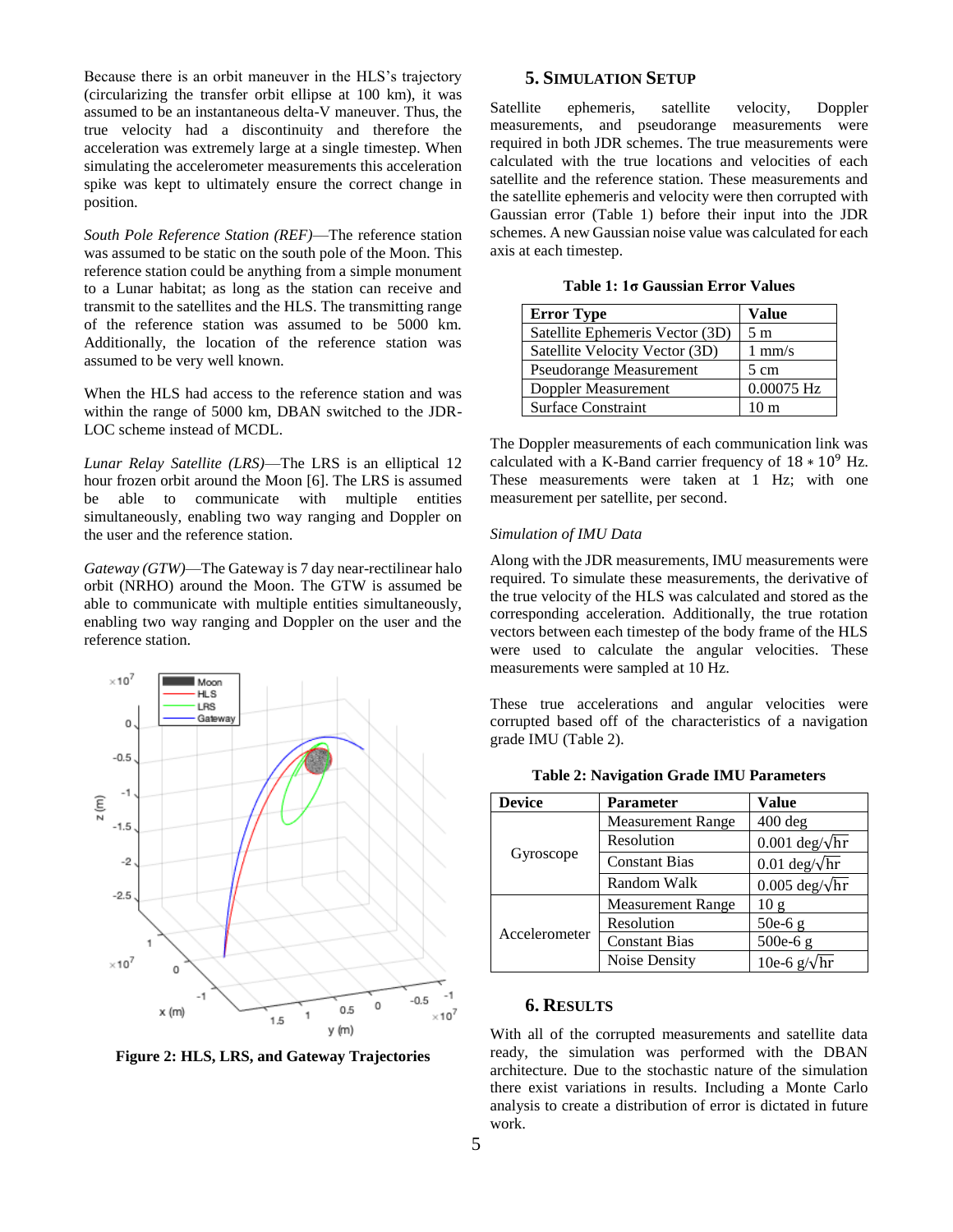Because there is an orbit maneuver in the HLS's trajectory (circularizing the transfer orbit ellipse at 100 km), it was assumed to be an instantaneous delta-V maneuver. Thus, the true velocity had a discontinuity and therefore the acceleration was extremely large at a single timestep. When simulating the accelerometer measurements this acceleration spike was kept to ultimately ensure the correct change in position.

*South Pole Reference Station (REF)*—The reference station was assumed to be static on the south pole of the Moon. This reference station could be anything from a simple monument to a Lunar habitat; as long as the station can receive and transmit to the satellites and the HLS. The transmitting range of the reference station was assumed to be 5000 km. Additionally, the location of the reference station was assumed to be very well known.

When the HLS had access to the reference station and was within the range of 5000 km, DBAN switched to the JDR-LOC scheme instead of MCDL.

*Lunar Relay Satellite (LRS)*—The LRS is an elliptical 12 hour frozen orbit around the Moon [6]. The LRS is assumed be able to communicate with multiple entities simultaneously, enabling two way ranging and Doppler on the user and the reference station.

*Gateway (GTW)*—The Gateway is 7 day near-rectilinear halo orbit (NRHO) around the Moon. The GTW is assumed be able to communicate with multiple entities simultaneously, enabling two way ranging and Doppler on the user and the reference station.



**Figure 2: HLS, LRS, and Gateway Trajectories**

# **5. SIMULATION SETUP**

<span id="page-4-0"></span>Satellite ephemeris, satellite velocity, Doppler measurements, and pseudorange measurements were required in both JDR schemes. The true measurements were calculated with the true locations and velocities of each satellite and the reference station. These measurements and the satellite ephemeris and velocity were then corrupted with Gaussian error (Table 1) before their input into the JDR schemes. A new Gaussian noise value was calculated for each axis at each timestep.

| <b>Error Type</b>               | Value                  |
|---------------------------------|------------------------|
| Satellite Ephemeris Vector (3D) | 5 <sub>m</sub>         |
| Satellite Velocity Vector (3D)  | $1 \text{ mm/s}$       |
| <b>Pseudorange Measurement</b>  | 5 cm                   |
| Doppler Measurement             | $0.00075\ \mathrm{Hz}$ |
| <b>Surface Constraint</b>       | 10 m                   |

**Table 1: 1σ Gaussian Error Values**

The Doppler measurements of each communication link was calculated with a K-Band carrier frequency of  $18 * 10^9$  Hz. These measurements were taken at 1 Hz; with one measurement per satellite, per second.

#### *Simulation of IMU Data*

Along with the JDR measurements, IMU measurements were required. To simulate these measurements, the derivative of the true velocity of the HLS was calculated and stored as the corresponding acceleration. Additionally, the true rotation vectors between each timestep of the body frame of the HLS were used to calculate the angular velocities. These measurements were sampled at 10 Hz.

These true accelerations and angular velocities were corrupted based off of the characteristics of a navigation grade IMU (Table 2).

| <b>Device</b> | <b>Parameter</b>         | <b>Value</b>                         |
|---------------|--------------------------|--------------------------------------|
| Gyroscope     | <b>Measurement Range</b> | $400$ deg                            |
|               | Resolution               | $0.001 \text{ deg}/\sqrt{\text{hr}}$ |
|               | <b>Constant Bias</b>     | $0.01 \text{ deg}/\sqrt{\text{hr}}$  |
|               | Random Walk              | $0.005 \text{ deg}/\sqrt{\text{hr}}$ |
| Accelerometer | <b>Measurement Range</b> | 10g                                  |
|               | Resolution               | $50e-6g$                             |
|               | <b>Constant Bias</b>     | $500e-6g$                            |
|               | Noise Density            | 10e-6 $g/\sqrt{hr}$                  |

**Table 2: Navigation Grade IMU Parameters**

### **6. RESULTS**

<span id="page-4-1"></span>With all of the corrupted measurements and satellite data ready, the simulation was performed with the DBAN architecture. Due to the stochastic nature of the simulation there exist variations in results. Including a Monte Carlo analysis to create a distribution of error is dictated in future work.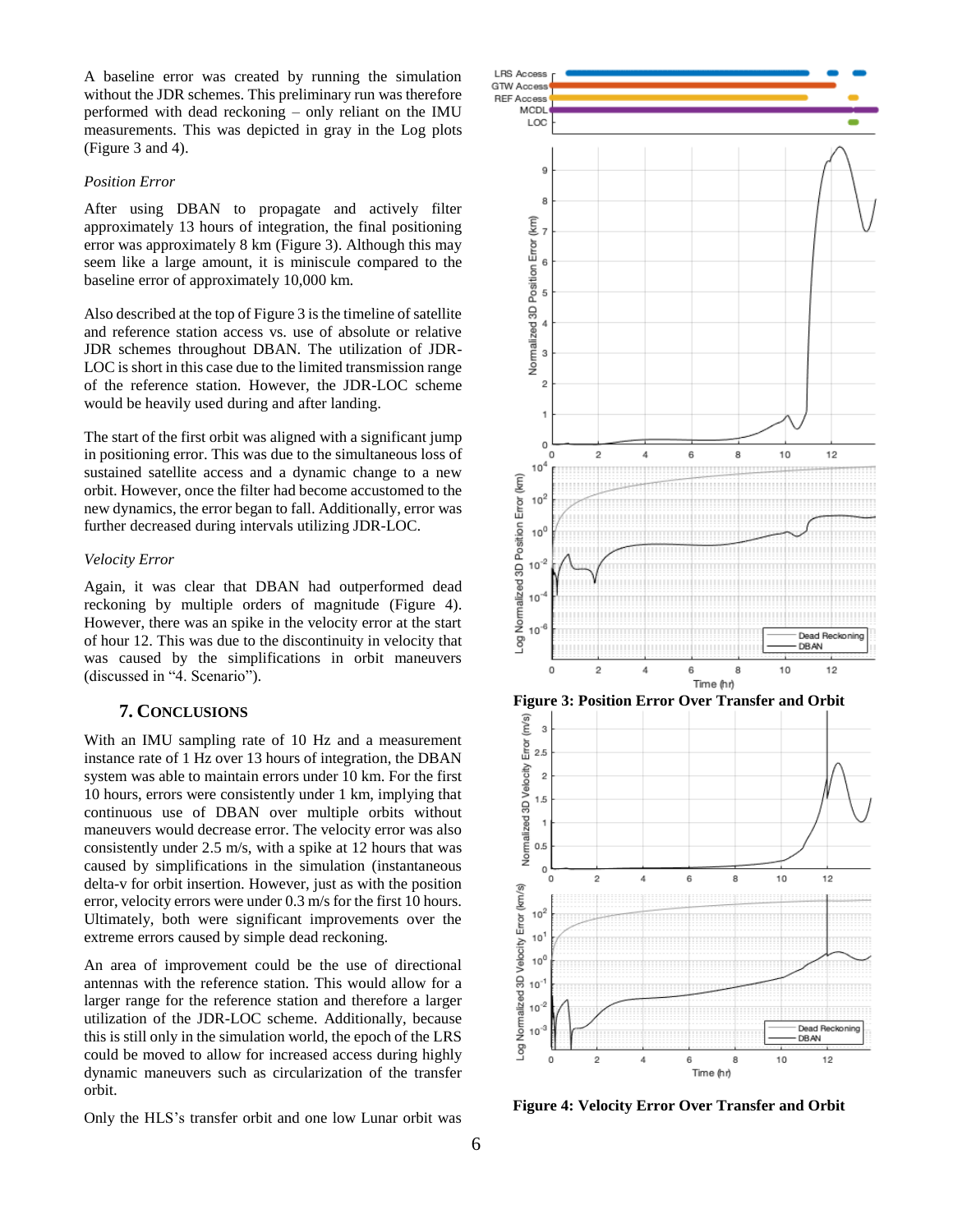A baseline error was created by running the simulation without the JDR schemes. This preliminary run was therefore performed with dead reckoning – only reliant on the IMU measurements. This was depicted in gray in the Log plots (Figure 3 and 4).

# *Position Error*

After using DBAN to propagate and actively filter approximately 13 hours of integration, the final positioning error was approximately 8 km (Figure 3). Although this may seem like a large amount, it is miniscule compared to the baseline error of approximately 10,000 km.

Also described at the top of Figure 3 is the timeline of satellite and reference station access vs. use of absolute or relative JDR schemes throughout DBAN. The utilization of JDR-LOC is short in this case due to the limited transmission range of the reference station. However, the JDR-LOC scheme would be heavily used during and after landing.

The start of the first orbit was aligned with a significant jump in positioning error. This was due to the simultaneous loss of sustained satellite access and a dynamic change to a new orbit. However, once the filter had become accustomed to the new dynamics, the error began to fall. Additionally, error was further decreased during intervals utilizing JDR-LOC.

## *Velocity Error*

Again, it was clear that DBAN had outperformed dead reckoning by multiple orders of magnitude (Figure 4). However, there was an spike in the velocity error at the start of hour 12. This was due to the discontinuity in velocity that was caused by the simplifications in orbit maneuvers (discussed in "4. Scenario").

# **7. CONCLUSIONS**

<span id="page-5-0"></span>With an IMU sampling rate of 10 Hz and a measurement instance rate of 1 Hz over 13 hours of integration, the DBAN system was able to maintain errors under 10 km. For the first 10 hours, errors were consistently under 1 km, implying that continuous use of DBAN over multiple orbits without maneuvers would decrease error. The velocity error was also consistently under 2.5 m/s, with a spike at 12 hours that was caused by simplifications in the simulation (instantaneous delta-v for orbit insertion. However, just as with the position error, velocity errors were under 0.3 m/s for the first 10 hours. Ultimately, both were significant improvements over the extreme errors caused by simple dead reckoning.

An area of improvement could be the use of directional antennas with the reference station. This would allow for a larger range for the reference station and therefore a larger utilization of the JDR-LOC scheme. Additionally, because this is still only in the simulation world, the epoch of the LRS could be moved to allow for increased access during highly dynamic maneuvers such as circularization of the transfer orbit.

Only the HLS's transfer orbit and one low Lunar orbit was



**Figure 4: Velocity Error Over Transfer and Orbit**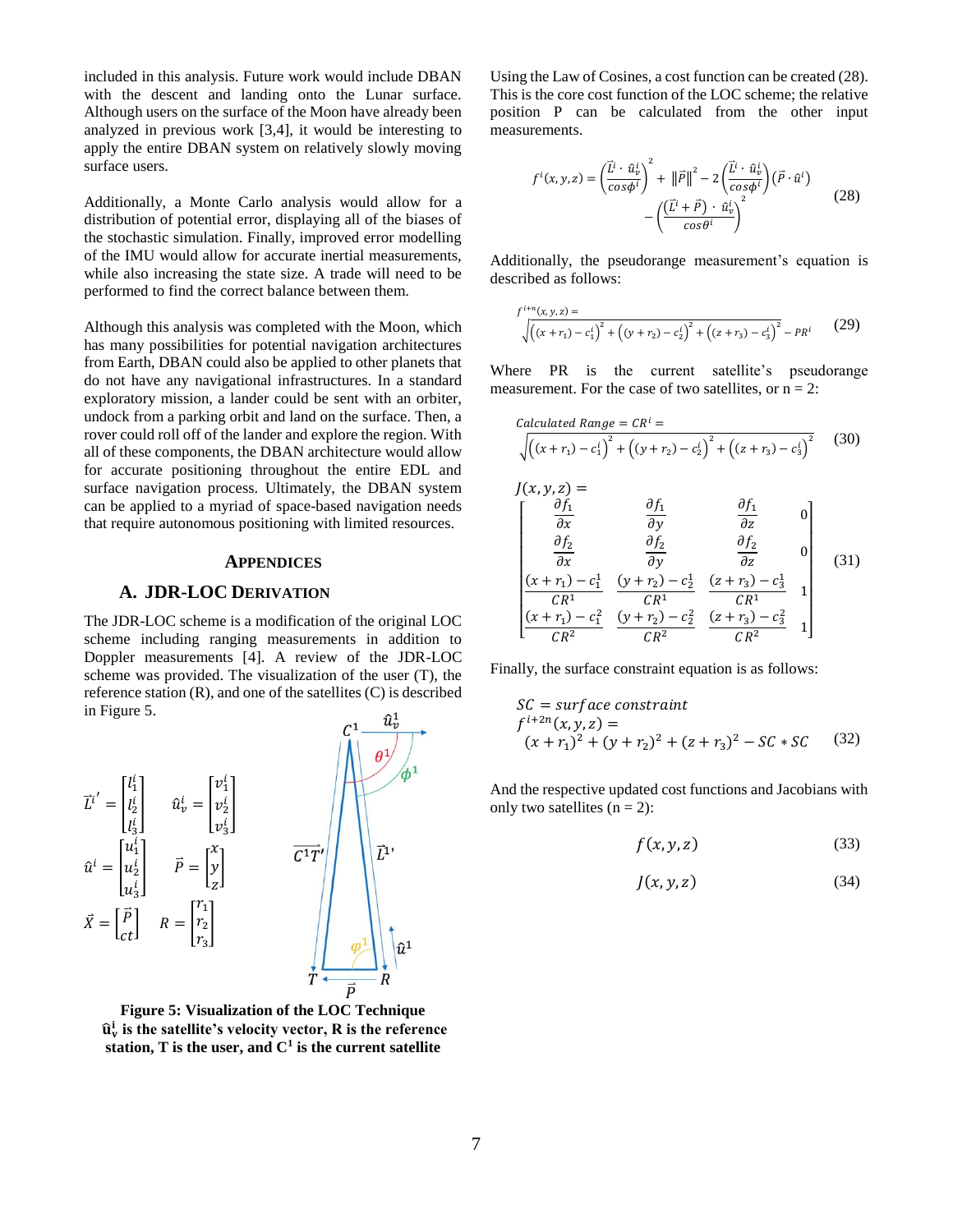included in this analysis. Future work would include DBAN with the descent and landing onto the Lunar surface. Although users on the surface of the Moon have already been analyzed in previous work [3,4], it would be interesting to apply the entire DBAN system on relatively slowly moving surface users.

Additionally, a Monte Carlo analysis would allow for a distribution of potential error, displaying all of the biases of the stochastic simulation. Finally, improved error modelling of the IMU would allow for accurate inertial measurements, while also increasing the state size. A trade will need to be performed to find the correct balance between them.

Although this analysis was completed with the Moon, which has many possibilities for potential navigation architectures from Earth, DBAN could also be applied to other planets that do not have any navigational infrastructures. In a standard exploratory mission, a lander could be sent with an orbiter, undock from a parking orbit and land on the surface. Then, a rover could roll off of the lander and explore the region. With all of these components, the DBAN architecture would allow for accurate positioning throughout the entire EDL and surface navigation process. Ultimately, the DBAN system can be applied to a myriad of space-based navigation needs that require autonomous positioning with limited resources.

#### <span id="page-6-0"></span>**APPENDICES**

## **A. JDR-LOC DERIVATION**

<span id="page-6-1"></span>The JDR-LOC scheme is a modification of the original LOC scheme including ranging measurements in addition to Doppler measurements [4]. A review of the JDR-LOC scheme was provided. The visualization of the user (T), the reference station (R), and one of the satellites (C) is described in Figure 5.



**Figure 5: Visualization of the LOC Technique** ̂ **is the satellite's velocity vector, R is the reference station, T is the user, and C<sup>1</sup> is the current satellite**

Using the Law of Cosines, a cost function can be created (28). This is the core cost function of the LOC scheme; the relative position P can be calculated from the other input measurements.

$$
f^{i}(x, y, z) = \left(\frac{\vec{L}^{i} \cdot \hat{u}_{v}^{i}}{\cos \phi^{i}}\right)^{2} + ||\vec{P}||^{2} - 2\left(\frac{\vec{L}^{i} \cdot \hat{u}_{v}^{i}}{\cos \phi^{i}}\right)(\vec{P} \cdot \hat{u}^{i}) - \left(\frac{(\vec{L}^{i} + \vec{P}) \cdot \hat{u}_{v}^{i}}{\cos \theta^{i}}\right)^{2}
$$
(28)

Additionally, the pseudorange measurement's equation is described as follows:

$$
\sqrt{\frac{r^{i+n}(x, y, z)}{(x + r_1) - c_1^i)^2 + (y + r_2) - c_2^i)^2 + (z + r_3) - c_3^i)^2} - PR^i
$$
 (29)

Where PR is the current satellite's pseudorange measurement. For the case of two satellites, or  $n = 2$ :

$$
Calculated Range = CR^{i} = \sqrt{((x + r_{1}) - c_{1}^{i})^{2} + ((y + r_{2}) - c_{2}^{i})^{2} + ((z + r_{3}) - c_{3}^{i})^{2}}
$$
(30)  

$$
J(x, y, z) = \begin{bmatrix} \frac{\partial f_{1}}{\partial x} & \frac{\partial f_{1}}{\partial y} & \frac{\partial f_{1}}{\partial z} & 0\\ \frac{\partial f_{2}}{\partial x} & \frac{\partial f_{2}}{\partial y} & \frac{\partial f_{2}}{\partial z} & 0\\ \frac{(x + r_{1}) - c_{1}^{1}}{CR^{1}} & \frac{(y + r_{2}) - c_{2}^{1}}{CR^{1}} & \frac{(z + r_{3}) - c_{3}^{1}}{CR^{1}} & 1\\ \frac{(x + r_{1}) - c_{1}^{2}}{CR^{2}} & \frac{(y + r_{2}) - c_{2}^{2}}{CR^{2}} & \frac{(z + r_{3}) - c_{3}^{2}}{CR^{2}} & 1 \end{bmatrix}
$$
(31)

Finally, the surface constraint equation is as follows:

$$
SC = surface constraint\nfi+2n(x, y, z) =(x + r1)2 + (y + r2)2 + (z + r3)2 - SC * SC
$$
 (32)

And the respective updated cost functions and Jacobians with only two satellites  $(n = 2)$ :

$$
f(x, y, z) \tag{33}
$$

$$
J(x, y, z) \tag{34}
$$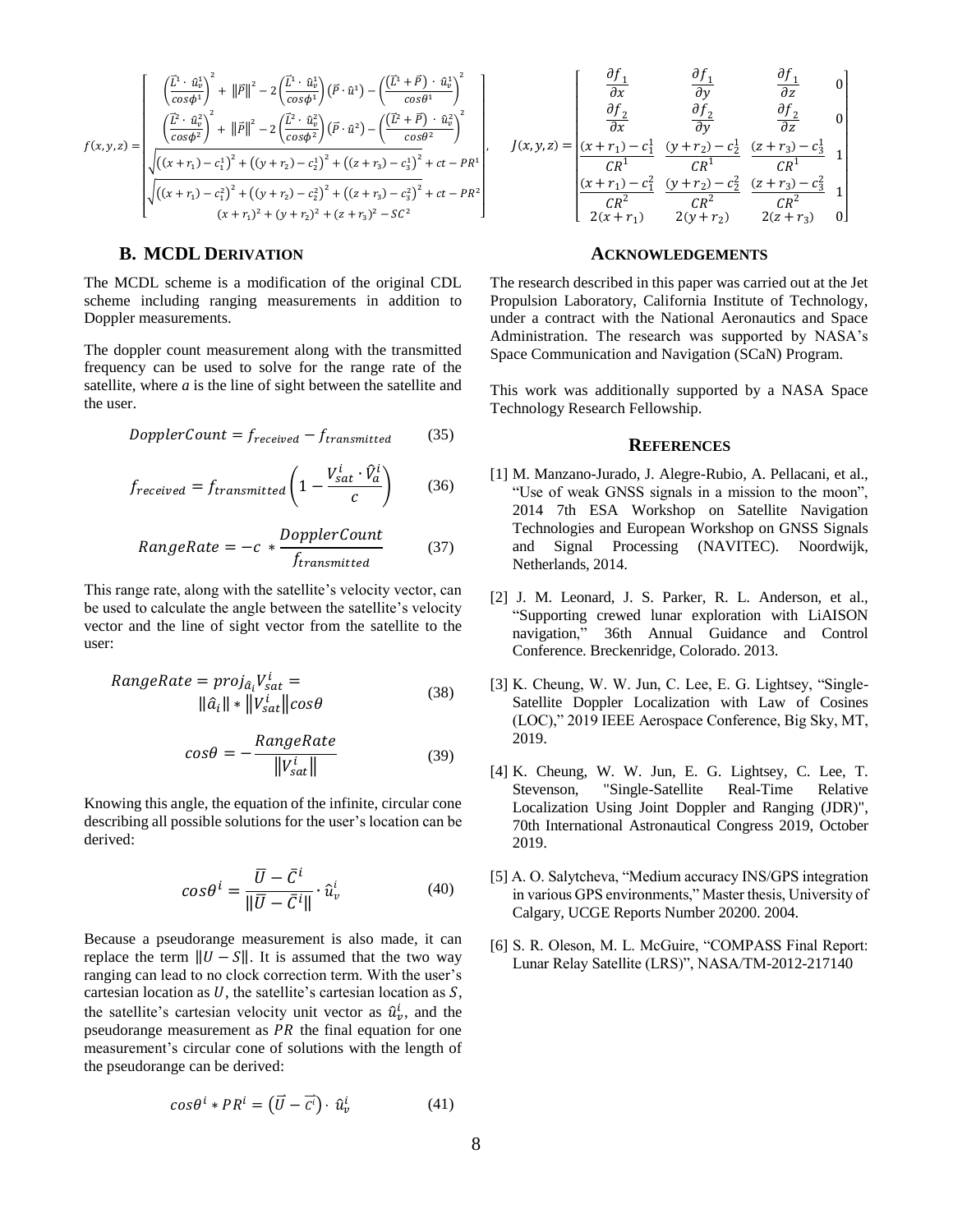$$
f(x,y,z) = \begin{cases} \left(\frac{\vec{L}^1 \cdot \hat{u}_v^1}{\cos \phi^1}\right)^2 + \left\|\vec{P}\right\|^2 - 2\left(\frac{\vec{L}^1 \cdot \hat{u}_v^1}{\cos \phi^1}\right)(\vec{P} \cdot \hat{u}^1) - \left(\frac{(\vec{L}^1 + \vec{P}) \cdot \hat{u}_v^1}{\cos \theta^1}\right)^2\\ \left(\frac{\vec{L}^2 \cdot \hat{u}_v^2}{\cos \phi^2}\right)^2 + \left\|\vec{P}\right\|^2 - 2\left(\frac{\vec{L}^2 \cdot \hat{u}_v^2}{\cos \phi^2}\right)(\vec{P} \cdot \hat{u}^2) - \left(\frac{(\vec{L}^2 + \vec{P}) \cdot \hat{u}_v^2}{\cos \theta^2}\right)^2\\ \sqrt{\left((x + r_1) - c_1^1\right)^2 + \left((y + r_2) - c_2^1\right)^2 + \left((z + r_3) - c_3^1\right)^2} + ct - PR^1\\ \sqrt{\left((x + r_1) - c_1^2\right)^2 + \left((y + r_2) - c_2^2\right)^2 + \left((z + r_3) - c_3^2\right)^2} + ct - PR^2\\ \left(x + r_1\right)^2 + (y + r_2)^2 + (z + r_3)^2 - SC^2 \end{cases}
$$

# **B. MCDL DERIVATION**

<span id="page-7-0"></span>The MCDL scheme is a modification of the original CDL scheme including ranging measurements in addition to Doppler measurements.

The doppler count measurement along with the transmitted frequency can be used to solve for the range rate of the satellite, where *a* is the line of sight between the satellite and the user.

$$
DopplerCount = f_{received} - f_{transmitted}
$$
 (35)

$$
f_{received} = f_{transmitted} \left( 1 - \frac{V_{sat}^{i} \cdot \hat{V}_{a}^{i}}{c} \right) \tag{36}
$$

$$
RangeRate = -c * \frac{DopplerCount}{f_{transmitted}} \tag{37}
$$

This range rate, along with the satellite's velocity vector, can be used to calculate the angle between the satellite's velocity vector and the line of sight vector from the satellite to the user:

$$
RangeRate = proj_{\hat{a}_i}V_{sat}^i =
$$
  
 
$$
\|\hat{a}_i\| \cdot \|V_{sat}^i\| \cos\theta
$$
 (38)

$$
cos\theta = -\frac{RangeRate}{\|V_{sat}^{i}\|}\tag{39}
$$

Knowing this angle, the equation of the infinite, circular cone describing all possible solutions for the user's location can be derived:

$$
\cos\theta^i = \frac{\overline{U} - \overline{C}^i}{\|\overline{U} - \overline{C}^i\|} \cdot \hat{u}_v^i \tag{40}
$$

Because a pseudorange measurement is also made, it can replace the term  $||U - S||$ . It is assumed that the two way ranging can lead to no clock correction term. With the user's cartesian location as  $U$ , the satellite's cartesian location as  $S$ , the satellite's cartesian velocity unit vector as  $\hat{u}_v^i$ , and the pseudorange measurement as  $PR$  the final equation for one measurement's circular cone of solutions with the length of the pseudorange can be derived:

$$
\cos\theta^i * PR^i = (\vec{U} - \vec{c^i}) \cdot \hat{u}^i_{\nu}
$$
 (41)

$$
J(x,y,z) = \begin{bmatrix} \frac{\partial f_1}{\partial x} & \frac{\partial f_1}{\partial y} & \frac{\partial f_1}{\partial z} & 0\\ \frac{\partial f_2}{\partial x} & \frac{\partial f_2}{\partial y} & \frac{\partial f_2}{\partial z} & 0\\ \frac{(x+r_1)-c_1^1}{CR^1} & \frac{(y+r_2)-c_2^1}{CR^1} & \frac{(z+r_3)-c_3^1}{CR^1} & 1\\ \frac{(x+r_1)-c_1^2}{CR^2} & \frac{(y+r_2)-c_2^2}{CR^2} & \frac{(z+r_3)-c_3^2}{CR^2} & 1\\ \frac{2(x+r_1)}{2(x+r_1)} & \frac{2(y+r_2)}{2(y+r_2)} & \frac{2(z+r_3)}{2(z+r_3)} & 0 \end{bmatrix}
$$

# <span id="page-7-1"></span>**ACKNOWLEDGEMENTS**

The research described in this paper was carried out at the Jet Propulsion Laboratory, California Institute of Technology, under a contract with the National Aeronautics and Space Administration. The research was supported by NASA's Space Communication and Navigation (SCaN) Program.

This work was additionally supported by a NASA Space Technology Research Fellowship.

## <span id="page-7-2"></span>**REFERENCES**

- [1] M. Manzano-Jurado, J. Alegre-Rubio, A. Pellacani, et al., "Use of weak GNSS signals in a mission to the moon", 2014 7th ESA Workshop on Satellite Navigation Technologies and European Workshop on GNSS Signals and Signal Processing (NAVITEC). Noordwijk, Netherlands, 2014.
- [2] J. M. Leonard, J. S. Parker, R. L. Anderson, et al., "Supporting crewed lunar exploration with LiAISON navigation," 36th Annual Guidance and Control Conference. Breckenridge, Colorado. 2013.
- [3] K. Cheung, W. W. Jun, C. Lee, E. G. Lightsey, "Single-Satellite Doppler Localization with Law of Cosines (LOC)," 2019 IEEE Aerospace Conference, Big Sky, MT, 2019.
- [4] K. Cheung, W. W. Jun, E. G. Lightsey, C. Lee, T. Stevenson, "Single-Satellite Real-Time Relative Localization Using Joint Doppler and Ranging (JDR)", 70th International Astronautical Congress 2019, October 2019.
- [5] A. O. Salytcheva, "Medium accuracy INS/GPS integration in various GPS environments," Master thesis, University of Calgary, UCGE Reports Number 20200. 2004.
- [6] S. R. Oleson, M. L. McGuire, "COMPASS Final Report: Lunar Relay Satellite (LRS)", NASA/TM-2012-217140

 $\overline{\phantom{a}}$ I ł ł ł ł I ł ł ł ł